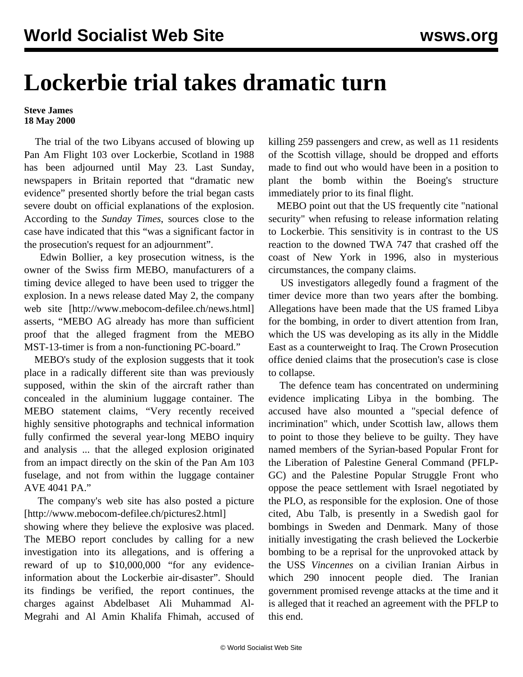## **Lockerbie trial takes dramatic turn**

## **Steve James 18 May 2000**

 The trial of the two Libyans accused of blowing up Pan Am Flight 103 over Lockerbie, Scotland in 1988 has been adjourned until May 23. Last Sunday, newspapers in Britain reported that "dramatic new evidence" presented shortly before the trial began casts severe doubt on official explanations of the explosion. According to the *Sunday Times*, sources close to the case have indicated that this "was a significant factor in the prosecution's request for an adjournment".

 Edwin Bollier, a key prosecution witness, is the owner of the Swiss firm MEBO, manufacturers of a timing device alleged to have been used to trigger the explosion. In a news release dated May 2, the company web site [[http://www.mebocom-defilee.ch/news.html\]](http://www.mebocom-defilee.ch/news.html) asserts, "MEBO AG already has more than sufficient proof that the alleged fragment from the MEBO MST-13-timer is from a non-functioning PC-board."

 MEBO's study of the explosion suggests that it took place in a radically different site than was previously supposed, within the skin of the aircraft rather than concealed in the aluminium luggage container. The MEBO statement claims, "Very recently received highly sensitive photographs and technical information fully confirmed the several year-long MEBO inquiry and analysis ... that the alleged explosion originated from an impact directly on the skin of the Pan Am 103 fuselage, and not from within the luggage container AVE 4041 PA."

 The company's web site has also posted a picture [\[http://www.mebocom-defilee.ch/pictures2.html\]](http://www.mebocom-defilee.ch/pictures2.html)

showing where they believe the explosive was placed. The MEBO report concludes by calling for a new investigation into its allegations, and is offering a reward of up to \$10,000,000 "for any evidenceinformation about the Lockerbie air-disaster". Should its findings be verified, the report continues, the charges against Abdelbaset Ali Muhammad Al-Megrahi and Al Amin Khalifa Fhimah, accused of killing 259 passengers and crew, as well as 11 residents of the Scottish village, should be dropped and efforts made to find out who would have been in a position to plant the bomb within the Boeing's structure immediately prior to its final flight.

 MEBO point out that the US frequently cite "national security" when refusing to release information relating to Lockerbie. This sensitivity is in contrast to the US reaction to the downed TWA 747 that crashed off the coast of New York in 1996, also in mysterious circumstances, the company claims.

 US investigators allegedly found a fragment of the timer device more than two years after the bombing. Allegations have been made that the US framed Libya for the bombing, in order to divert attention from Iran, which the US was developing as its ally in the Middle East as a counterweight to Iraq. The Crown Prosecution office denied claims that the prosecution's case is close to collapse.

 The defence team has concentrated on undermining evidence implicating Libya in the bombing. The accused have also mounted a "special defence of incrimination" which, under Scottish law, allows them to point to those they believe to be guilty. They have named members of the Syrian-based Popular Front for the Liberation of Palestine General Command (PFLP-GC) and the Palestine Popular Struggle Front who oppose the peace settlement with Israel negotiated by the PLO, as responsible for the explosion. One of those cited, Abu Talb, is presently in a Swedish gaol for bombings in Sweden and Denmark. Many of those initially investigating the crash believed the Lockerbie bombing to be a reprisal for the unprovoked attack by the USS *Vincennes* on a civilian Iranian Airbus in which 290 innocent people died. The Iranian government promised revenge attacks at the time and it is alleged that it reached an agreement with the PFLP to this end.